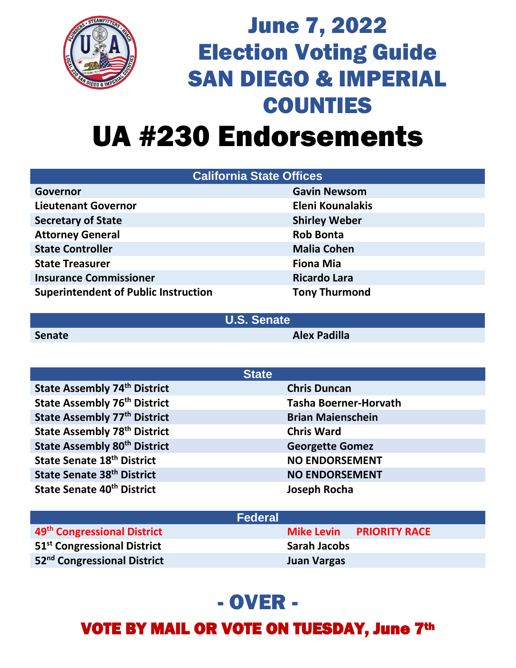

## June 7, 2022 Election Voting Guide SAN DIEGO & IMPERIAL COUNTIES UA #230 Endorsements

| <b>California State Offices</b>             |                         |  |
|---------------------------------------------|-------------------------|--|
| Governor                                    | <b>Gavin Newsom</b>     |  |
| <b>Lieutenant Governor</b>                  | <b>Eleni Kounalakis</b> |  |
| <b>Secretary of State</b>                   | <b>Shirley Weber</b>    |  |
| <b>Attorney General</b>                     | <b>Rob Bonta</b>        |  |
| <b>State Controller</b>                     | <b>Malia Cohen</b>      |  |
| <b>State Treasurer</b>                      | <b>Fiona Mia</b>        |  |
| <b>Insurance Commissioner</b>               | <b>Ricardo Lara</b>     |  |
| <b>Superintendent of Public Instruction</b> | <b>Tony Thurmond</b>    |  |

**U.S. Senate**

**Senate Alex Padilla**

| <b>State</b>                           |                              |
|----------------------------------------|------------------------------|
| <b>State Assembly 74th District</b>    | <b>Chris Duncan</b>          |
| <b>State Assembly 76th District</b>    | <b>Tasha Boerner-Horvath</b> |
| <b>State Assembly 77th District</b>    | <b>Brian Maienschein</b>     |
| <b>State Assembly 78th District</b>    | <b>Chris Ward</b>            |
| <b>State Assembly 80th District</b>    | <b>Georgette Gomez</b>       |
| <b>State Senate 18th District</b>      | <b>NO ENDORSEMENT</b>        |
| State Senate 38th District             | <b>NO ENDORSEMENT</b>        |
| State Senate 40 <sup>th</sup> District | Joseph Rocha                 |

| <b>Federal</b>                          |                     |                                 |
|-----------------------------------------|---------------------|---------------------------------|
| 49 <sup>th</sup> Congressional District |                     | <b>Mike Levin PRIORITY RACE</b> |
| 51 <sup>st</sup> Congressional District | <b>Sarah Jacobs</b> |                                 |
| 52 <sup>nd</sup> Congressional District | <b>Juan Vargas</b>  |                                 |

## - OVER -

VOTE BY MAIL OR VOTE ON TUESDAY, June 7th